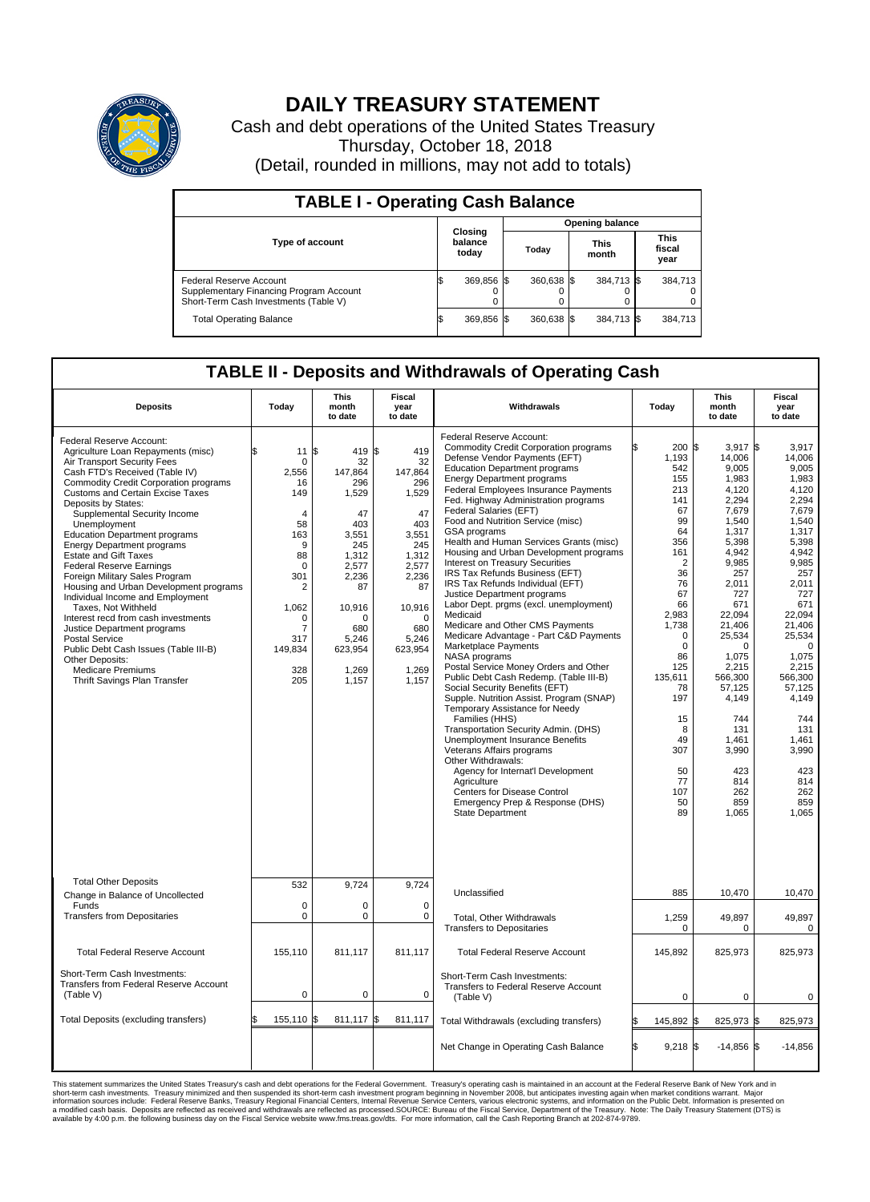

## **DAILY TREASURY STATEMENT**

Cash and debt operations of the United States Treasury Thursday, October 18, 2018 (Detail, rounded in millions, may not add to totals)

| <b>TABLE I - Operating Cash Balance</b>                                                                     |  |                             |                        |              |  |                      |                               |         |  |  |  |
|-------------------------------------------------------------------------------------------------------------|--|-----------------------------|------------------------|--------------|--|----------------------|-------------------------------|---------|--|--|--|
|                                                                                                             |  |                             | <b>Opening balance</b> |              |  |                      |                               |         |  |  |  |
| <b>Type of account</b>                                                                                      |  | Closing<br>balance<br>today |                        | Today        |  | <b>This</b><br>month | <b>This</b><br>fiscal<br>year |         |  |  |  |
| Federal Reserve Account<br>Supplementary Financing Program Account<br>Short-Term Cash Investments (Table V) |  | 369,856 \$                  |                        | $360.638$ \$ |  | 384,713 \$           |                               | 384.713 |  |  |  |
| <b>Total Operating Balance</b>                                                                              |  | 369,856 \$                  |                        | $360.638$ \$ |  | 384,713 \$           |                               | 384,713 |  |  |  |

## **TABLE II - Deposits and Withdrawals of Operating Cash**

| <b>Deposits</b>                                                                                                                                                                                                                                                                                                                                                                                                                                                                                                                                                                                                                                                                                                                                                                                                 | Today                                                                                                                                                              | <b>This</b><br>month<br>to date                                                                                                                                          | <b>Fiscal</b><br>year<br>to date                                                                                                                                      | Withdrawals                                                                                                                                                                                                                                                                                                                                                                                                                                                                                                                                                                                                                                                                                                                                                                                                                                                                                                                                                                                                                                                                                                                                                                                                                                                                      | Today                                                                                                                                                                                                                                                          | <b>This</b><br>month<br>to date                                                                                                                                                                                                                                                                      | Fiscal<br>year<br>to date                                                                                                                                                                                                                                                                                 |
|-----------------------------------------------------------------------------------------------------------------------------------------------------------------------------------------------------------------------------------------------------------------------------------------------------------------------------------------------------------------------------------------------------------------------------------------------------------------------------------------------------------------------------------------------------------------------------------------------------------------------------------------------------------------------------------------------------------------------------------------------------------------------------------------------------------------|--------------------------------------------------------------------------------------------------------------------------------------------------------------------|--------------------------------------------------------------------------------------------------------------------------------------------------------------------------|-----------------------------------------------------------------------------------------------------------------------------------------------------------------------|----------------------------------------------------------------------------------------------------------------------------------------------------------------------------------------------------------------------------------------------------------------------------------------------------------------------------------------------------------------------------------------------------------------------------------------------------------------------------------------------------------------------------------------------------------------------------------------------------------------------------------------------------------------------------------------------------------------------------------------------------------------------------------------------------------------------------------------------------------------------------------------------------------------------------------------------------------------------------------------------------------------------------------------------------------------------------------------------------------------------------------------------------------------------------------------------------------------------------------------------------------------------------------|----------------------------------------------------------------------------------------------------------------------------------------------------------------------------------------------------------------------------------------------------------------|------------------------------------------------------------------------------------------------------------------------------------------------------------------------------------------------------------------------------------------------------------------------------------------------------|-----------------------------------------------------------------------------------------------------------------------------------------------------------------------------------------------------------------------------------------------------------------------------------------------------------|
| Federal Reserve Account:<br>Agriculture Loan Repayments (misc)<br>Air Transport Security Fees<br>Cash FTD's Received (Table IV)<br><b>Commodity Credit Corporation programs</b><br><b>Customs and Certain Excise Taxes</b><br>Deposits by States:<br>Supplemental Security Income<br>Unemployment<br><b>Education Department programs</b><br><b>Energy Department programs</b><br><b>Estate and Gift Taxes</b><br><b>Federal Reserve Earnings</b><br>Foreign Military Sales Program<br>Housing and Urban Development programs<br>Individual Income and Employment<br>Taxes. Not Withheld<br>Interest recd from cash investments<br>Justice Department programs<br><b>Postal Service</b><br>Public Debt Cash Issues (Table III-B)<br>Other Deposits:<br><b>Medicare Premiums</b><br>Thrift Savings Plan Transfer | \$<br>11<br>$\mathbf 0$<br>2,556<br>16<br>149<br>4<br>58<br>163<br>9<br>88<br>$\mathbf 0$<br>301<br>2<br>1,062<br>$\mathbf 0$<br>7<br>317<br>149,834<br>328<br>205 | 1\$<br>419 \$<br>32<br>147,864<br>296<br>1,529<br>47<br>403<br>3,551<br>245<br>1,312<br>2,577<br>2,236<br>87<br>10,916<br>O<br>680<br>5,246<br>623,954<br>1,269<br>1,157 | 419<br>32<br>147.864<br>296<br>1,529<br>47<br>403<br>3,551<br>245<br>1,312<br>2,577<br>2,236<br>87<br>10,916<br>$\Omega$<br>680<br>5,246<br>623,954<br>1,269<br>1,157 | Federal Reserve Account:<br><b>Commodity Credit Corporation programs</b><br>Defense Vendor Payments (EFT)<br><b>Education Department programs</b><br><b>Energy Department programs</b><br><b>Federal Employees Insurance Payments</b><br>Fed. Highway Administration programs<br>Federal Salaries (EFT)<br>Food and Nutrition Service (misc)<br>GSA programs<br>Health and Human Services Grants (misc)<br>Housing and Urban Development programs<br>Interest on Treasury Securities<br>IRS Tax Refunds Business (EFT)<br>IRS Tax Refunds Individual (EFT)<br>Justice Department programs<br>Labor Dept. prgms (excl. unemployment)<br>Medicaid<br>Medicare and Other CMS Payments<br>Medicare Advantage - Part C&D Payments<br>Marketplace Payments<br>NASA programs<br>Postal Service Money Orders and Other<br>Public Debt Cash Redemp. (Table III-B)<br>Social Security Benefits (EFT)<br>Supple. Nutrition Assist. Program (SNAP)<br>Temporary Assistance for Needy<br>Families (HHS)<br>Transportation Security Admin. (DHS)<br>Unemployment Insurance Benefits<br>Veterans Affairs programs<br>Other Withdrawals:<br>Agency for Internat'l Development<br>Agriculture<br><b>Centers for Disease Control</b><br>Emergency Prep & Response (DHS)<br><b>State Department</b> | 200 \$<br>1,193<br>542<br>155<br>213<br>141<br>67<br>99<br>64<br>356<br>161<br>$\overline{2}$<br>36<br>76<br>67<br>66<br>2,983<br>1,738<br>$\Omega$<br>$\mathbf 0$<br>86<br>125<br>135,611<br>78<br>197<br>15<br>8<br>49<br>307<br>50<br>77<br>107<br>50<br>89 | $3.917$ \$<br>14,006<br>9,005<br>1,983<br>4,120<br>2,294<br>7,679<br>1,540<br>1,317<br>5,398<br>4,942<br>9,985<br>257<br>2,011<br>727<br>671<br>22,094<br>21,406<br>25,534<br>0<br>1,075<br>2,215<br>566,300<br>57,125<br>4,149<br>744<br>131<br>1.461<br>3,990<br>423<br>814<br>262<br>859<br>1,065 | 3.917<br>14.006<br>9,005<br>1,983<br>4,120<br>2,294<br>7,679<br>1.540<br>1,317<br>5,398<br>4.942<br>9,985<br>257<br>2,011<br>727<br>671<br>22,094<br>21.406<br>25,534<br>$\mathbf 0$<br>1,075<br>2,215<br>566,300<br>57,125<br>4,149<br>744<br>131<br>1.461<br>3,990<br>423<br>814<br>262<br>859<br>1.065 |
| <b>Total Other Deposits</b><br>Change in Balance of Uncollected                                                                                                                                                                                                                                                                                                                                                                                                                                                                                                                                                                                                                                                                                                                                                 | 532                                                                                                                                                                | 9,724                                                                                                                                                                    | 9,724                                                                                                                                                                 | Unclassified                                                                                                                                                                                                                                                                                                                                                                                                                                                                                                                                                                                                                                                                                                                                                                                                                                                                                                                                                                                                                                                                                                                                                                                                                                                                     | 885                                                                                                                                                                                                                                                            | 10,470                                                                                                                                                                                                                                                                                               | 10,470                                                                                                                                                                                                                                                                                                    |
| Funds<br><b>Transfers from Depositaries</b>                                                                                                                                                                                                                                                                                                                                                                                                                                                                                                                                                                                                                                                                                                                                                                     | $\mathbf 0$<br>$\mathbf 0$                                                                                                                                         | 0<br>0                                                                                                                                                                   | $\mathbf 0$<br>$\mathbf 0$                                                                                                                                            | <b>Total. Other Withdrawals</b><br><b>Transfers to Depositaries</b>                                                                                                                                                                                                                                                                                                                                                                                                                                                                                                                                                                                                                                                                                                                                                                                                                                                                                                                                                                                                                                                                                                                                                                                                              | 1,259<br>0                                                                                                                                                                                                                                                     | 49,897<br>0                                                                                                                                                                                                                                                                                          | 49.897<br>0                                                                                                                                                                                                                                                                                               |
| <b>Total Federal Reserve Account</b>                                                                                                                                                                                                                                                                                                                                                                                                                                                                                                                                                                                                                                                                                                                                                                            | 155,110                                                                                                                                                            | 811,117                                                                                                                                                                  | 811,117                                                                                                                                                               | <b>Total Federal Reserve Account</b>                                                                                                                                                                                                                                                                                                                                                                                                                                                                                                                                                                                                                                                                                                                                                                                                                                                                                                                                                                                                                                                                                                                                                                                                                                             | 145,892                                                                                                                                                                                                                                                        | 825,973                                                                                                                                                                                                                                                                                              | 825,973                                                                                                                                                                                                                                                                                                   |
| Short-Term Cash Investments:<br>Transfers from Federal Reserve Account<br>(Table V)                                                                                                                                                                                                                                                                                                                                                                                                                                                                                                                                                                                                                                                                                                                             | $\pmb{0}$                                                                                                                                                          | 0                                                                                                                                                                        | $\mathbf 0$                                                                                                                                                           | Short-Term Cash Investments:<br>Transfers to Federal Reserve Account<br>(Table V)                                                                                                                                                                                                                                                                                                                                                                                                                                                                                                                                                                                                                                                                                                                                                                                                                                                                                                                                                                                                                                                                                                                                                                                                | $\mathbf 0$                                                                                                                                                                                                                                                    | $\mathbf 0$                                                                                                                                                                                                                                                                                          | 0                                                                                                                                                                                                                                                                                                         |
| Total Deposits (excluding transfers)                                                                                                                                                                                                                                                                                                                                                                                                                                                                                                                                                                                                                                                                                                                                                                            | 155,110                                                                                                                                                            | 811,117 \$<br>l\$                                                                                                                                                        | 811,117                                                                                                                                                               | Total Withdrawals (excluding transfers)                                                                                                                                                                                                                                                                                                                                                                                                                                                                                                                                                                                                                                                                                                                                                                                                                                                                                                                                                                                                                                                                                                                                                                                                                                          | 145,892 \$                                                                                                                                                                                                                                                     | 825,973 \$                                                                                                                                                                                                                                                                                           | 825,973                                                                                                                                                                                                                                                                                                   |
|                                                                                                                                                                                                                                                                                                                                                                                                                                                                                                                                                                                                                                                                                                                                                                                                                 |                                                                                                                                                                    |                                                                                                                                                                          |                                                                                                                                                                       | Net Change in Operating Cash Balance                                                                                                                                                                                                                                                                                                                                                                                                                                                                                                                                                                                                                                                                                                                                                                                                                                                                                                                                                                                                                                                                                                                                                                                                                                             | Ŝ.<br>$9,218$ \$                                                                                                                                                                                                                                               | $-14,856$ \$                                                                                                                                                                                                                                                                                         | $-14,856$                                                                                                                                                                                                                                                                                                 |

This statement summarizes the United States Treasury's cash and debt operations for the Federal Government. Treasury soperating in November 2008, but anticiarded in a cocount at the Federal Reserve Bank of New York and in<br>